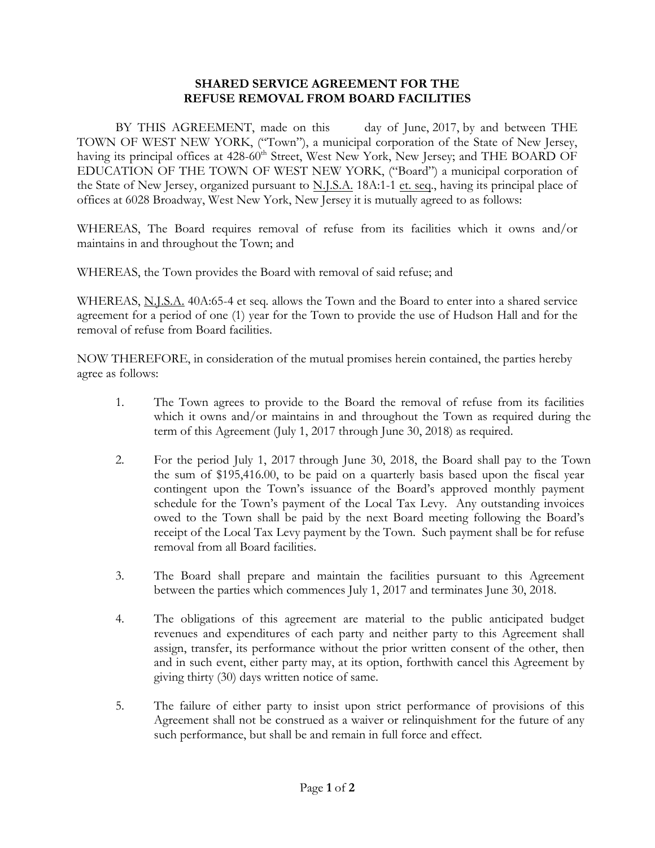## **SHARED SERVICE AGREEMENT FOR THE REFUSE REMOVAL FROM BOARD FACILITIES**

BY THIS AGREEMENT, made on this day of June, 2017, by and between THE TOWN OF WEST NEW YORK, ("Town"), a municipal corporation of the State of New Jersey, having its principal offices at 428-60<sup>th</sup> Street, West New York, New Jersey; and THE BOARD OF EDUCATION OF THE TOWN OF WEST NEW YORK, ("Board") a municipal corporation of the State of New Jersey, organized pursuant to N.J.S.A. 18A:1-1 et. seq., having its principal place of offices at 6028 Broadway, West New York, New Jersey it is mutually agreed to as follows:

WHEREAS, The Board requires removal of refuse from its facilities which it owns and/or maintains in and throughout the Town; and

WHEREAS, the Town provides the Board with removal of said refuse; and

WHEREAS, N.J.S.A. 40A:65-4 et seq. allows the Town and the Board to enter into a shared service agreement for a period of one (1) year for the Town to provide the use of Hudson Hall and for the removal of refuse from Board facilities.

NOW THEREFORE, in consideration of the mutual promises herein contained, the parties hereby agree as follows:

- 1. The Town agrees to provide to the Board the removal of refuse from its facilities which it owns and/or maintains in and throughout the Town as required during the term of this Agreement (July 1, 2017 through June 30, 2018) as required.
- 2. For the period July 1, 2017 through June 30, 2018, the Board shall pay to the Town the sum of \$195,416.00, to be paid on a quarterly basis based upon the fiscal year contingent upon the Town's issuance of the Board's approved monthly payment schedule for the Town's payment of the Local Tax Levy. Any outstanding invoices owed to the Town shall be paid by the next Board meeting following the Board's receipt of the Local Tax Levy payment by the Town. Such payment shall be for refuse removal from all Board facilities.
- 3. The Board shall prepare and maintain the facilities pursuant to this Agreement between the parties which commences July 1, 2017 and terminates June 30, 2018.
- 4. The obligations of this agreement are material to the public anticipated budget revenues and expenditures of each party and neither party to this Agreement shall assign, transfer, its performance without the prior written consent of the other, then and in such event, either party may, at its option, forthwith cancel this Agreement by giving thirty (30) days written notice of same.
- 5. The failure of either party to insist upon strict performance of provisions of this Agreement shall not be construed as a waiver or relinquishment for the future of any such performance, but shall be and remain in full force and effect.